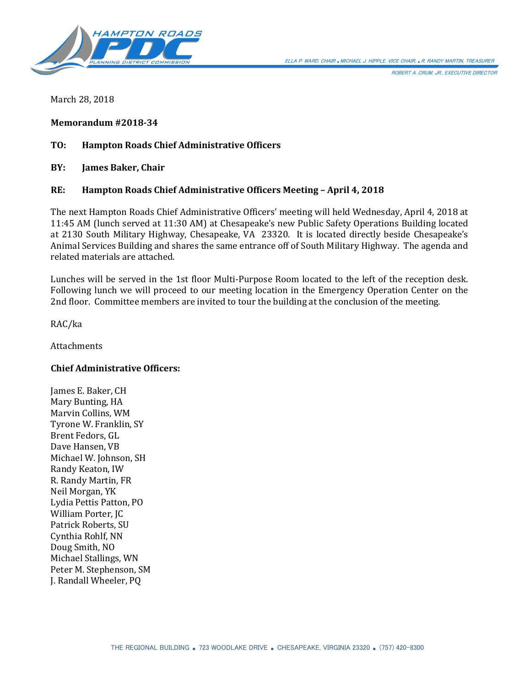

ROBERT A. CRUM, JR., EXECUTIVE DIRECTOR

March 28, 2018

**Memorandum #2018-34**

### **TO: Hampton Roads Chief Administrative Officers**

**BY: James Baker, Chair**

### **RE: Hampton Roads Chief Administrative Officers Meeting – April 4, 2018**

The next Hampton Roads Chief Administrative Officers' meeting will held Wednesday, April 4, 2018 at 11:45 AM (lunch served at 11:30 AM) at Chesapeake's new Public Safety Operations Building located at 2130 South Military Highway, Chesapeake, VA 23320. It is located directly beside Chesapeake's Animal Services Building and shares the same entrance off of South Military Highway. The agenda and related materials are attached.

Lunches will be served in the 1st floor Multi-Purpose Room located to the left of the reception desk. Following lunch we will proceed to our meeting location in the Emergency Operation Center on the 2nd floor. Committee members are invited to tour the building at the conclusion of the meeting.

RAC/ka

**Attachments** 

### **Chief Administrative Officers:**

James E. Baker, CH Mary Bunting, HA Marvin Collins, WM Tyrone W. Franklin, SY Brent Fedors, GL Dave Hansen, VB Michael W. Johnson, SH Randy Keaton, IW R. Randy Martin, FR Neil Morgan, YK Lydia Pettis Patton, PO William Porter, JC Patrick Roberts, SU Cynthia Rohlf, NN Doug Smith, NO Michael Stallings, WN Peter M. Stephenson, SM J. Randall Wheeler, PQ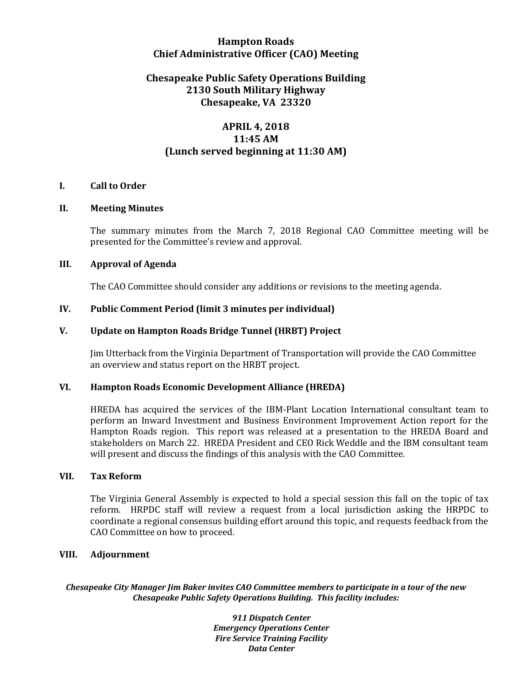## **Hampton Roads Chief Administrative Officer (CAO) Meeting**

# **Chesapeake Public Safety Operations Building 2130 South Military Highway Chesapeake, VA 23320**

# **APRIL 4, 2018 11:45 AM (Lunch served beginning at 11:30 AM)**

### **I. Call to Order**

### **II. Meeting Minutes**

The summary minutes from the March 7, 2018 Regional CAO Committee meeting will be presented for the Committee's review and approval.

### **III. Approval of Agenda**

The CAO Committee should consider any additions or revisions to the meeting agenda.

### **IV. Public Comment Period (limit 3 minutes per individual)**

### **V. Update on Hampton Roads Bridge Tunnel (HRBT) Project**

Jim Utterback from the Virginia Department of Transportation will provide the CAO Committee an overview and status report on the HRBT project.

#### **VI. Hampton Roads Economic Development Alliance (HREDA)**

HREDA has acquired the services of the IBM-Plant Location International consultant team to perform an Inward Investment and Business Environment Improvement Action report for the Hampton Roads region. This report was released at a presentation to the HREDA Board and stakeholders on March 22. HREDA President and CEO Rick Weddle and the IBM consultant team will present and discuss the findings of this analysis with the CAO Committee.

#### **VII. Tax Reform**

The Virginia General Assembly is expected to hold a special session this fall on the topic of tax reform. HRPDC staff will review a request from a local jurisdiction asking the HRPDC to coordinate a regional consensus building effort around this topic, and requests feedback from the CAO Committee on how to proceed.

#### **VIII. Adjournment**

*Chesapeake City Manager Jim Baker invites CAO Committee members to participate in a tour of the new Chesapeake Public Safety Operations Building. This facility includes:*

> *911 Dispatch Center Emergency Operations Center Fire Service Training Facility Data Center*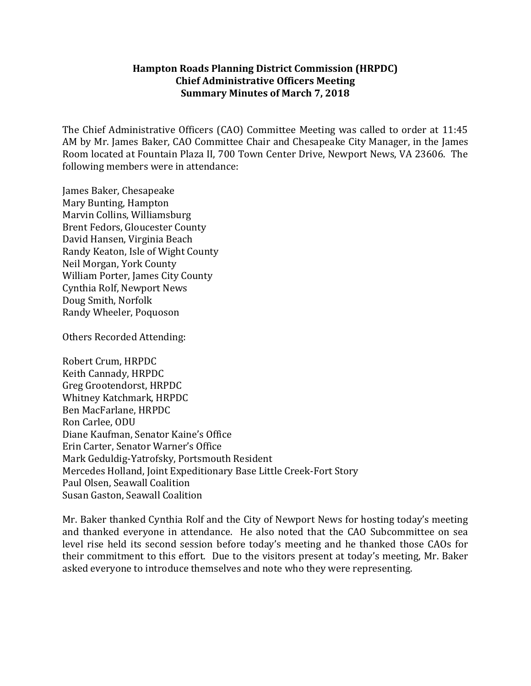## **Hampton Roads Planning District Commission (HRPDC) Chief Administrative Officers Meeting Summary Minutes of March 7, 2018**

The Chief Administrative Officers (CAO) Committee Meeting was called to order at 11:45 AM by Mr. James Baker, CAO Committee Chair and Chesapeake City Manager, in the James Room located at Fountain Plaza II, 700 Town Center Drive, Newport News, VA 23606. The following members were in attendance:

James Baker, Chesapeake Mary Bunting, Hampton Marvin Collins, Williamsburg Brent Fedors, Gloucester County David Hansen, Virginia Beach Randy Keaton, Isle of Wight County Neil Morgan, York County William Porter, James City County Cynthia Rolf, Newport News Doug Smith, Norfolk Randy Wheeler, Poquoson

Others Recorded Attending:

Robert Crum, HRPDC Keith Cannady, HRPDC Greg Grootendorst, HRPDC Whitney Katchmark, HRPDC Ben MacFarlane, HRPDC Ron Carlee, ODU Diane Kaufman, Senator Kaine's Office Erin Carter, Senator Warner's Office Mark Geduldig-Yatrofsky, Portsmouth Resident Mercedes Holland, Joint Expeditionary Base Little Creek-Fort Story Paul Olsen, Seawall Coalition Susan Gaston, Seawall Coalition

Mr. Baker thanked Cynthia Rolf and the City of Newport News for hosting today's meeting and thanked everyone in attendance. He also noted that the CAO Subcommittee on sea level rise held its second session before today's meeting and he thanked those CAOs for their commitment to this effort. Due to the visitors present at today's meeting, Mr. Baker asked everyone to introduce themselves and note who they were representing.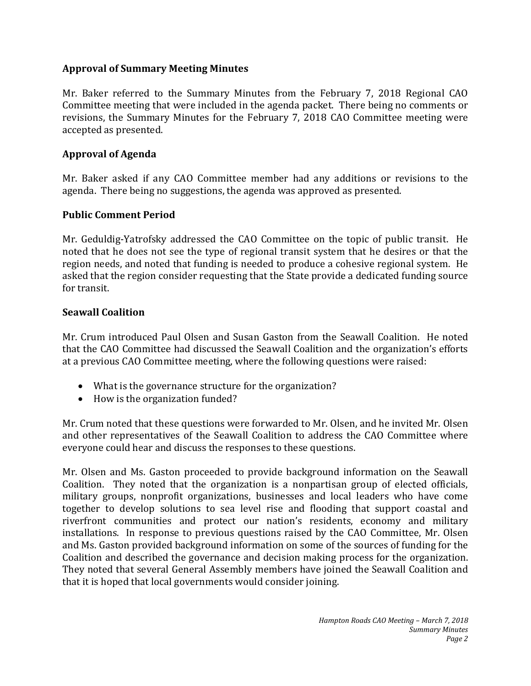# **Approval of Summary Meeting Minutes**

Mr. Baker referred to the Summary Minutes from the February 7, 2018 Regional CAO Committee meeting that were included in the agenda packet. There being no comments or revisions, the Summary Minutes for the February 7, 2018 CAO Committee meeting were accepted as presented.

# **Approval of Agenda**

Mr. Baker asked if any CAO Committee member had any additions or revisions to the agenda. There being no suggestions, the agenda was approved as presented.

# **Public Comment Period**

Mr. Geduldig-Yatrofsky addressed the CAO Committee on the topic of public transit. He noted that he does not see the type of regional transit system that he desires or that the region needs, and noted that funding is needed to produce a cohesive regional system. He asked that the region consider requesting that the State provide a dedicated funding source for transit.

# **Seawall Coalition**

Mr. Crum introduced Paul Olsen and Susan Gaston from the Seawall Coalition. He noted that the CAO Committee had discussed the Seawall Coalition and the organization's efforts at a previous CAO Committee meeting, where the following questions were raised:

- What is the governance structure for the organization?
- How is the organization funded?

Mr. Crum noted that these questions were forwarded to Mr. Olsen, and he invited Mr. Olsen and other representatives of the Seawall Coalition to address the CAO Committee where everyone could hear and discuss the responses to these questions.

Mr. Olsen and Ms. Gaston proceeded to provide background information on the Seawall Coalition. They noted that the organization is a nonpartisan group of elected officials, military groups, nonprofit organizations, businesses and local leaders who have come together to develop solutions to sea level rise and flooding that support coastal and riverfront communities and protect our nation's residents, economy and military installations. In response to previous questions raised by the CAO Committee, Mr. Olsen and Ms. Gaston provided background information on some of the sources of funding for the Coalition and described the governance and decision making process for the organization. They noted that several General Assembly members have joined the Seawall Coalition and that it is hoped that local governments would consider joining.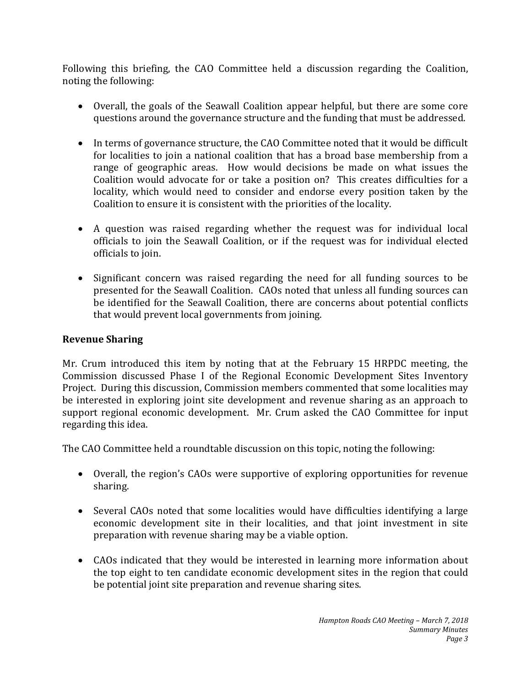Following this briefing, the CAO Committee held a discussion regarding the Coalition, noting the following:

- Overall, the goals of the Seawall Coalition appear helpful, but there are some core questions around the governance structure and the funding that must be addressed.
- In terms of governance structure, the CAO Committee noted that it would be difficult for localities to join a national coalition that has a broad base membership from a range of geographic areas. How would decisions be made on what issues the Coalition would advocate for or take a position on? This creates difficulties for a locality, which would need to consider and endorse every position taken by the Coalition to ensure it is consistent with the priorities of the locality.
- A question was raised regarding whether the request was for individual local officials to join the Seawall Coalition, or if the request was for individual elected officials to join.
- Significant concern was raised regarding the need for all funding sources to be presented for the Seawall Coalition. CAOs noted that unless all funding sources can be identified for the Seawall Coalition, there are concerns about potential conflicts that would prevent local governments from joining.

# **Revenue Sharing**

Mr. Crum introduced this item by noting that at the February 15 HRPDC meeting, the Commission discussed Phase I of the Regional Economic Development Sites Inventory Project. During this discussion, Commission members commented that some localities may be interested in exploring joint site development and revenue sharing as an approach to support regional economic development. Mr. Crum asked the CAO Committee for input regarding this idea.

The CAO Committee held a roundtable discussion on this topic, noting the following:

- Overall, the region's CAOs were supportive of exploring opportunities for revenue sharing.
- Several CAOs noted that some localities would have difficulties identifying a large economic development site in their localities, and that joint investment in site preparation with revenue sharing may be a viable option.
- CAOs indicated that they would be interested in learning more information about the top eight to ten candidate economic development sites in the region that could be potential joint site preparation and revenue sharing sites.